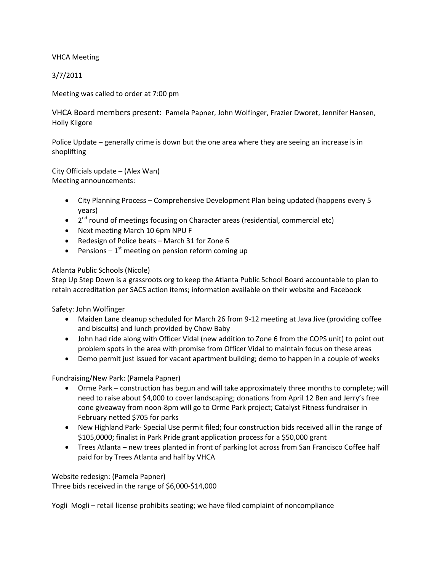VHCA Meeting

3/7/2011

Meeting was called to order at 7:00 pm

VHCA Board members present: Pamela Papner, John Wolfinger, Frazier Dworet, Jennifer Hansen, Holly Kilgore

Police Update – generally crime is down but the one area where they are seeing an increase is in shoplifting

City Officials update – (Alex Wan) Meeting announcements:

- City Planning Process Comprehensive Development Plan being updated (happens every 5 years)
- 2<sup>nd</sup> round of meetings focusing on Character areas (residential, commercial etc)
- Next meeting March 10 6pm NPU F
- Redesign of Police beats March 31 for Zone 6
- Pensions  $-1^{st}$  meeting on pension reform coming up

# Atlanta Public Schools (Nicole)

Step Up Step Down is a grassroots org to keep the Atlanta Public School Board accountable to plan to retain accreditation per SACS action items; information available on their website and Facebook

Safety: John Wolfinger

- Maiden Lane cleanup scheduled for March 26 from 9-12 meeting at Java Jive (providing coffee and biscuits) and lunch provided by Chow Baby
- John had ride along with Officer Vidal (new addition to Zone 6 from the COPS unit) to point out problem spots in the area with promise from Officer Vidal to maintain focus on these areas
- Demo permit just issued for vacant apartment building; demo to happen in a couple of weeks

Fundraising/New Park: (Pamela Papner)

- Orme Park construction has begun and will take approximately three months to complete; will need to raise about \$4,000 to cover landscaping; donations from April 12 Ben and Jerry's free cone giveaway from noon-8pm will go to Orme Park project; Catalyst Fitness fundraiser in February netted \$705 for parks
- New Highland Park- Special Use permit filed; four construction bids received all in the range of \$105,0000; finalist in Park Pride grant application process for a \$50,000 grant
- Trees Atlanta new trees planted in front of parking lot across from San Francisco Coffee half paid for by Trees Atlanta and half by VHCA

Website redesign: (Pamela Papner) Three bids received in the range of \$6,000-\$14,000

Yogli Mogli – retail license prohibits seating; we have filed complaint of noncompliance